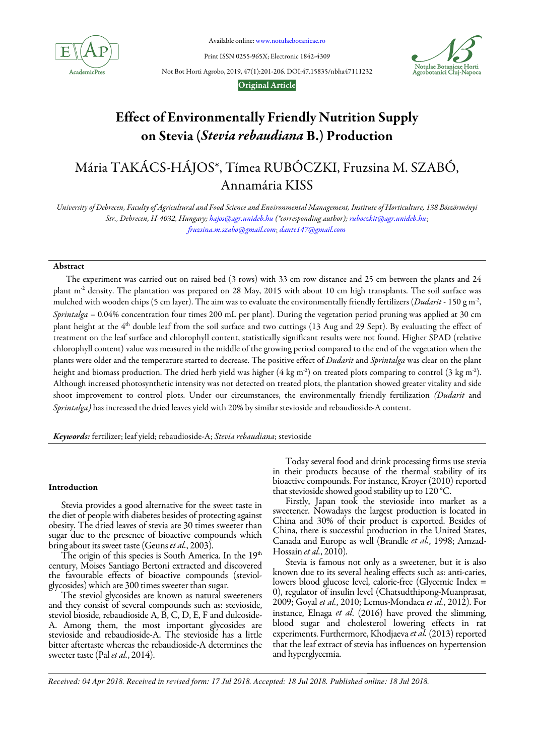

Available online: www.notulaebotanicae.ro

Print ISSN 0255-965X; Electronic 1842-4309



Not Bot Horti Agrobo, 2019, 47(1):201-206. DOI:47.15835/nbha47111232

# Original Article

# Effect of Environmentally Friendly Nutrition Supply on Stevia (Stevia rebaudiana B.) Production

# Mária TAKÁCS-HÁJOS\*, Tímea RUBÓCZKI, Fruzsina M. SZABÓ, Annamária KISS

University of Debrecen, Faculty of Agricultural and Food Science and Environmental Management, Institute of Horticulture, 138 Böszörményi Str., Debrecen, H-4032, Hungary; hajos@agr.unideb.hu (\*corresponding author); ruboczkit@agr.unideb.hu; fruzsina.m.szabo@gmail.com; dante147@gmail.com

# Abstract

The experiment was carried out on raised bed (3 rows) with 33 cm row distance and 25 cm between the plants and 24 plant m<sup>-2</sup> density. The plantation was prepared on 28 May, 2015 with about 10 cm high transplants. The soil surface was mulched with wooden chips (5 cm layer). The aim was to evaluate the environmentally friendly fertilizers (Dudarit - 150 g m<sup>-2</sup>, Sprintalga - 0.04% concentration four times 200 mL per plant). During the vegetation period pruning was applied at 30 cm plant height at the 4<sup>th</sup> double leaf from the soil surface and two cuttings (13 Aug and 29 Sept). By evaluating the effect of treatment on the leaf surface and chlorophyll content, statistically significant results were not found. Higher SPAD (relative chlorophyll content) value was measured in the middle of the growing period compared to the end of the vegetation when the plants were older and the temperature started to decrease. The positive effect of Dudarit and Sprintalga was clear on the plant height and biomass production. The dried herb yield was higher (4 kg m<sup>-2</sup>) on treated plots comparing to control (3 kg m<sup>-2</sup>). Although increased photosynthetic intensity was not detected on treated plots, the plantation showed greater vitality and side shoot improvement to control plots. Under our circumstances, the environmentally friendly fertilization (Dudarit and Sprintalga) has increased the dried leaves yield with 20% by similar stevioside and rebaudioside-A content.

Keywords: fertilizer; leaf yield; rebaudioside-A; Stevia rebaudiana; stevioside

## Introduction

Stevia provides a good alternative for the sweet taste in the diet of people with diabetes besides of protecting against obesity. The dried leaves of stevia are 30 times sweeter than sugar due to the presence of bioactive compounds which bring about its sweet taste (Geuns et al., 2003).

The origin of this species is South America. In the  $19<sup>th</sup>$ century, Moises Santiago Bertoni extracted and discovered the favourable effects of bioactive compounds (steviolglycosides) which are 300 times sweeter than sugar.

The steviol glycosides are known as natural sweeteners and they consist of several compounds such as: stevioside, steviol bioside, rebaudioside A, B, C, D, E, F and dulcoside-A. Among them, the most important glycosides are stevioside and rebaudioside-A. The stevioside has a little bitter aftertaste whereas the rebaudioside-A determines the sweeter taste (Pal et al., 2014).

Today several food and drink processing firms use stevia in their products because of the thermal stability of its bioactive compounds. For instance, Kroyer (2010) reported that stevioside showed good stability up to 120 °C.

Firstly, Japan took the stevioside into market as a sweetener. Nowadays the largest production is located in China and 30% of their product is exported. Besides of China, there is successful production in the United States, Canada and Europe as well (Brandle et al., 1998; Amzad-Hossain et al., 2010).

Stevia is famous not only as a sweetener, but it is also known due to its several healing effects such as: anti-caries, lowers blood glucose level, calorie-free (Glycemic Index = 0), regulator of insulin level (Chatsudthipong-Muanprasat, 2009; Goyal et al., 2010; Lemus-Mondaca et al., 2012). For instance, Elnaga et al. (2016) have proved the slimming, blood sugar and cholesterol lowering effects in rat experiments. Furthermore, Khodjaeva et al. (2013) reported that the leaf extract of stevia has influences on hypertension and hyperglycemia.

*Received: 04 Apr 2018. Received in revised form: 17 Jul 2018. Accepted: 18 Jul 2018. Published online: 18 Jul 2018.*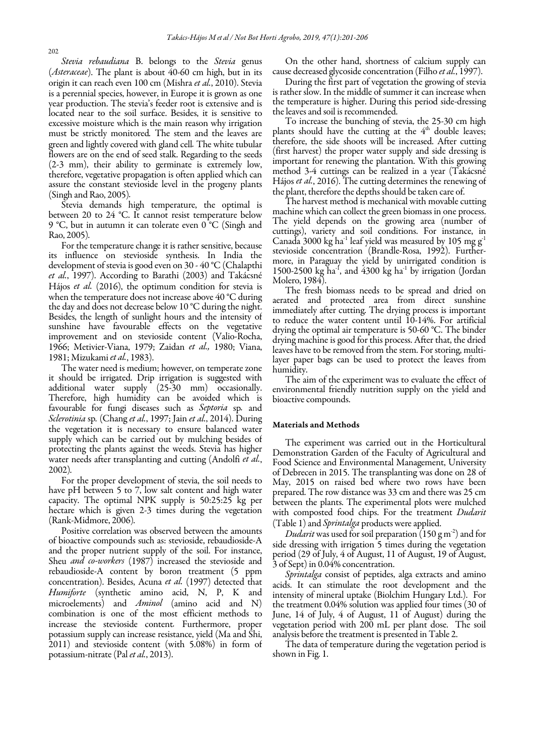Stevia rebaudiana B. belongs to the Stevia genus (*Asteraceae*). The plant is about 40-60 cm high, but in its origin it can reach even 100 cm (Mishra et al., 2010). Stevia is a perennial species, however, in Europe it is grown as one year production. The stevia's feeder root is extensive and is located near to the soil surface. Besides, it is sensitive to excessive moisture which is the main reason why irrigation must be strictly monitored. The stem and the leaves are green and lightly covered with gland cell. The white tubular flowers are on the end of seed stalk. Regarding to the seeds (2-3 mm), their ability to germinate is extremely low, therefore, vegetative propagation is often applied which can assure the constant stevioside level in the progeny plants (Singh and Rao, 2005).

Stevia demands high temperature, the optimal is between 20 to 24 °C. It cannot resist temperature below 9 °C, but in autumn it can tolerate even 0 °C (Singh and Rao, 2005).

For the temperature change it is rather sensitive, because its influence on stevioside synthesis. In India the development of stevia is good even on 30 - 40 °C (Chalapthi et al., 1997). According to Barathi (2003) and Takácsné Hájos et al. (2016), the optimum condition for stevia is when the temperature does not increase above 40 °C during the day and does not decrease below 10 °C during the night. Besides, the length of sunlight hours and the intensity of sunshine have favourable effects on the vegetative improvement and on stevioside content (Valio-Rocha, 1966; Metivier-Viana, 1979; Zaidan et al., 1980; Viana, 1981; Mizukami et al., 1983).

The water need is medium; however, on temperate zone it should be irrigated. Drip irrigation is suggested with additional water supply (25-30 mm) occasionally. Therefore, high humidity can be avoided which is favourable for fungi diseases such as Septoria sp. and Sclerotinia sp. (Chang et al., 1997; Jain et al., 2014). During the vegetation it is necessary to ensure balanced water supply which can be carried out by mulching besides of protecting the plants against the weeds. Stevia has higher water needs after transplanting and cutting (Andolfi et al., 2002).

For the proper development of stevia, the soil needs to have pH between 5 to 7, low salt content and high water capacity. The optimal NPK supply is 50:25:25 kg per hectare which is given 2-3 times during the vegetation (Rank-Midmore, 2006).

Positive correlation was observed between the amounts of bioactive compounds such as: stevioside, rebaudioside-A and the proper nutrient supply of the soil. For instance, Sheu *and co-workers* (1987) increased the stevioside and rebaudioside-A content by boron treatment (5 ppm concentration). Besides, Acuna et al. (1997) detected that Humiforte (synthetic amino acid, N, P, K and microelements) and *Aminol* (amino acid and N) combination is one of the most efficient methods to increase the stevioside content. Furthermore, proper potassium supply can increase resistance, yield (Ma and Shi, 2011) and stevioside content (with 5.08%) in form of potassium-nitrate (Pal et al., 2013).

On the other hand, shortness of calcium supply can cause decreased glycoside concentration (Filho *et al.*, 1997).

During the first part of vegetation the growing of stevia is rather slow. In the middle of summer it can increase when the temperature is higher. During this period side-dressing the leaves and soil is recommended.

To increase the bunching of stevia, the 25-30 cm high plants should have the cutting at the  $4<sup>th</sup>$  double leaves; therefore, the side shoots will be increased. After cutting (first harvest) the proper water supply and side dressing is important for renewing the plantation. With this growing method 3-4 cuttings can be realized in a year (Takácsné Hájos et al., 2016). The cutting determines the renewing of the plant, therefore the depths should be taken care of.

The harvest method is mechanical with movable cutting machine which can collect the green biomass in one process. The yield depends on the growing area (number of cuttings), variety and soil conditions. For instance, in Canada 3000 kg ha<sup>-1</sup> leaf yield was measured by 105 mg  $g<sup>-1</sup>$ stevioside concentration (Brandle-Rosa, 1992). Furthermore, in Paraguay the yield by unirrigated condition is 1500-2500 kg ha<sup>-1</sup>, and  $4300$  kg ha<sup>-1</sup> by irrigation (Jordan Molero, 1984).

The fresh biomass needs to be spread and dried on aerated and protected area from direct sunshine immediately after cutting. The drying process is important to reduce the water content until 10-14%. For artificial drying the optimal air temperature is 50-60 °C. The binder drying machine is good for this process. After that, the dried leaves have to be removed from the stem. For storing, multilayer paper bags can be used to protect the leaves from humidity.

The aim of the experiment was to evaluate the effect of environmental friendly nutrition supply on the yield and bioactive compounds.

#### Materials and Methods

The experiment was carried out in the Horticultural Demonstration Garden of the Faculty of Agricultural and Food Science and Environmental Management, University of Debrecen in 2015. The transplanting was done on 28 of May, 2015 on raised bed where two rows have been prepared. The row distance was 33 cm and there was 25 cm between the plants. The experimental plots were mulched with composted food chips. For the treatment *Dudarit* (Table 1) and Sprintalga products were applied.

Dudarit was used for soil preparation (150 g m<sup>-2</sup>) and for side dressing with irrigation 5 times during the vegetation period (29 of July, 4 of August, 11 of August, 19 of August, 3 of Sept) in 0.04% concentration.

Sprintalga consist of peptides, alga extracts and amino acids. It can stimulate the root development and the intensity of mineral uptake (Biolchim Hungary Ltd.). For the treatment 0.04% solution was applied four times (30 of June, 14 of July, 4 of August, 11 of August) during the vegetation period with 200 mL per plant dose. The soil analysis before the treatment is presented in Table 2.

The data of temperature during the vegetation period is shown in Fig. 1.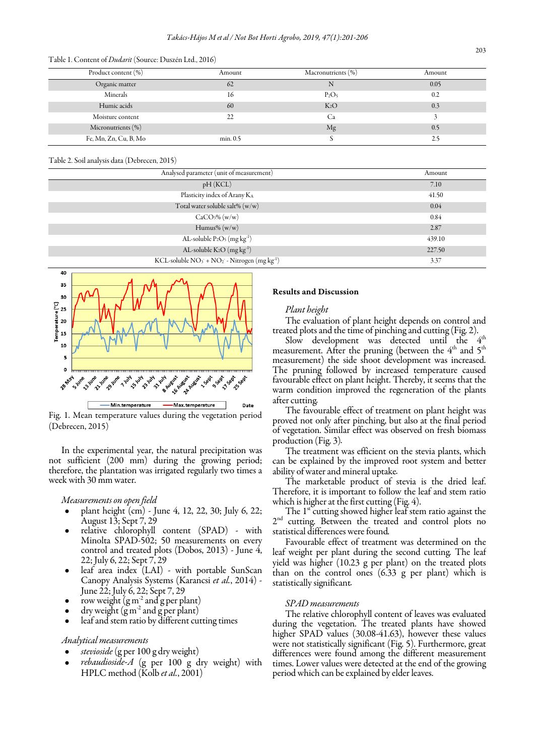| Product content (%)   | Amount   | Macronutrients (%) | Amount |
|-----------------------|----------|--------------------|--------|
| Organic matter        | 62       | ΙN                 | 0.05   |
| Minerals              | 16       | $P_2O_5$           | 0.2    |
| Humic acids           | 60       | $K_2O$             | 0.3    |
| Moisture content      | 22       | Ca                 |        |
| Micronutrients $(\%)$ |          | Mg                 | 0.5    |
| Fe, Mn, Zn, Cu, B, Mo | min. 0.5 |                    | 2.5    |

#### Table 1. Content of Dudarit (Source: Duszén Ltd., 2016)

## Table 2. Soil analysis data (Debrecen, 2015)

| Analysed parameter (unit of measurement)                                        | Amount |
|---------------------------------------------------------------------------------|--------|
| pH(KCL)                                                                         | 7.10   |
| Plasticity index of Arany KA                                                    | 41.50  |
| Total water soluble salt% (w/w)                                                 | 0.04   |
| CaCO <sub>3</sub> % (w/w)                                                       | 0.84   |
| Humus% $(w/w)$                                                                  | 2.87   |
| AL-soluble $P_2O_5$ (mg kg <sup>-1</sup> )                                      | 439.10 |
| AL-soluble $K_2O(mg\ kg^{-1})$                                                  | 227.50 |
| KCL-soluble NO <sub>3</sub> + NO <sub>2</sub> - Nitrogen (mg kg <sup>-1</sup> ) | 3.37   |



Fig. 1. Mean temperature values during the vegetation period (Debrecen, 2015)

In the experimental year, the natural precipitation was not sufficient (200 mm) during the growing period; therefore, the plantation was irrigated regularly two times a week with 30 mm water.

#### Measurements on open field

- plant height (cm) June 4, 12, 22, 30; July 6, 22; August 13; Sept 7, 29
- relative chlorophyll content (SPAD) with Minolta SPAD-502; 50 measurements on every control and treated plots (Dobos, 2013) - June 4, 22; July 6, 22; Sept 7, 29
- leaf area index (LAI) with portable SunScan Canopy Analysis Systems (Karancsi et al., 2014) - June 22; July 6, 22; Sept 7, 29
- row weight  $(g m<sup>2</sup> and g per plant)$
- dry weight  $(g m^2$  and  $g per plant)$
- leaf and stem ratio by different cutting times

#### Analytical measurements

- stevioside (g per 100 g dry weight)
- $rebaudoside-A$  (g per 100 g dry weight) with HPLC method (Kolb et al., 2001)

# Results and Discussion

### Plant height

The evaluation of plant height depends on control and treated plots and the time of pinching and cutting (Fig. 2).

Slow development was detected until the  $4<sup>th</sup>$ measurement. After the pruning (between the 4<sup>th</sup> and 5<sup>th</sup> measurement) the side shoot development was increased. The pruning followed by increased temperature caused favourable effect on plant height. Thereby, it seems that the warm condition improved the regeneration of the plants after cutting.

The favourable effect of treatment on plant height was proved not only after pinching, but also at the final period of vegetation. Similar effect was observed on fresh biomass production (Fig. 3).

The treatment was efficient on the stevia plants, which can be explained by the improved root system and better ability of water and mineral uptake.

The marketable product of stevia is the dried leaf. Therefore, it is important to follow the leaf and stem ratio which is higher at the first cutting (Fig. 4).

The  $1<sup>st</sup>$  cutting showed higher leaf stem ratio against the 2<sup>nd</sup> cutting. Between the treated and control plots no statistical differences were found.

Favourable effect of treatment was determined on the leaf weight per plant during the second cutting. The leaf yield was higher (10.23 g per plant) on the treated plots than on the control ones (6.33 g per plant) which is statistically significant.

#### SPAD measurements

The relative chlorophyll content of leaves was evaluated during the vegetation. The treated plants have showed higher SPAD values (30.08-41.63), however these values were not statistically significant (Fig. 5). Furthermore, great differences were found among the different measurement times. Lower values were detected at the end of the growing period which can be explained by elder leaves.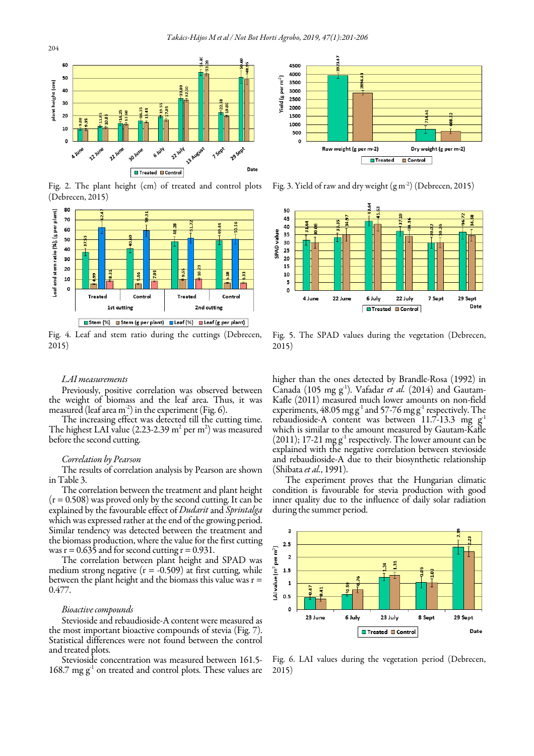

Fig. 2. The plant height (cm) of treated and control plots (Debrecen, 2015)



Fig. 4. Leaf and stem ratio during the cuttings (Debrecen, 2015)

#### LAI measurements

Previously, positive correlation was observed between the weight of biomass and the leaf area. Thus, it was measured (leaf area  $m<sup>-2</sup>$ ) in the experiment (Fig. 6).

The increasing effect was detected till the cutting time. The highest LAI value (2.23-2.39  $m^2$  per  $m^2$ ) was measured before the second cutting.

## Correlation by Pearson

The results of correlation analysis by Pearson are shown in Table 3.

The correlation between the treatment and plant height  $(r = 0.508)$  was proved only by the second cutting. It can be explained by the favourable effect of *Dudarit* and *Sprintalga* which was expressed rather at the end of the growing period. Similar tendency was detected between the treatment and the biomass production, where the value for the first cutting was  $r = 0.635$  and for second cutting  $r = 0.931$ .

The correlation between plant height and SPAD was medium strong negative  $(r = -0.509)$  at first cutting, while between the plant height and the biomass this value was  $r =$ 0.477.

#### Bioactive compounds

Stevioside and rebaudioside-A content were measured as the most important bioactive compounds of stevia (Fig. 7). Statistical differences were not found between the control and treated plots.

Stevioside concentration was measured between 161.5- 168.7 mg  $g<sup>-1</sup>$  on treated and control plots. These values are



Fig. 3. Yield of raw and dry weight (g m-2) (Debrecen, 2015)



Fig. 5. The SPAD values during the vegetation (Debrecen, 2015)

higher than the ones detected by Brandle-Rosa (1992) in Canada (105 mg g<sup>-1</sup>). Vafadar *et al.* (2014) and Gautam-Kafle (2011) measured much lower amounts on non-field experiments,  $48.05 \text{ mg g}^{-1}$  and  $57-76 \text{ mg g}^{-1}$  respectively. The rebaudioside-A content was between 11.7-13.3 mg  $g<sup>-1</sup>$ which is similar to the amount measured by Gautam-Kafle  $(2011)$ ; 17-21 mg g<sup>-1</sup> respectively. The lower amount can be explained with the negative correlation between stevioside and rebaudioside-A due to their biosynthetic relationship (Shibata et al., 1991).

The experiment proves that the Hungarian climatic condition is favourable for stevia production with good inner quality due to the influence of daily solar radiation during the summer period.



Fig. 6. LAI values during the vegetation period (Debrecen, 2015)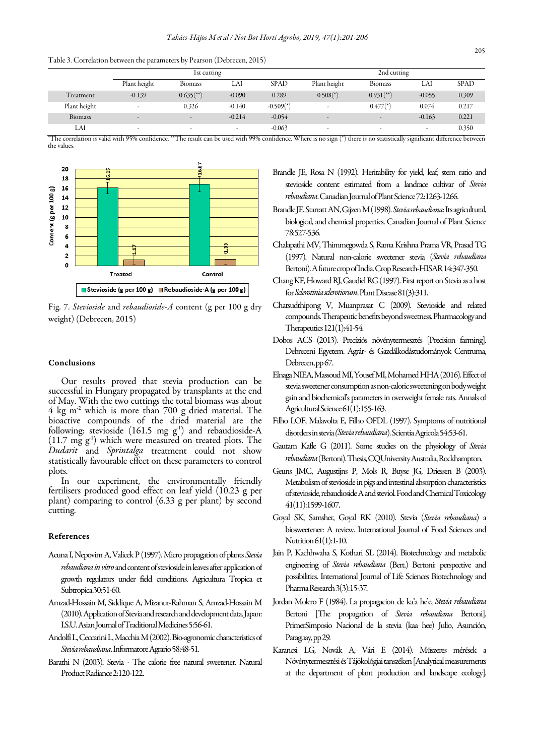|  |  |  |  |  |  | Table 3. Correlation between the parameters by Pearson (Debrecen, 2015) |  |  |  |  |  |  |
|--|--|--|--|--|--|-------------------------------------------------------------------------|--|--|--|--|--|--|
|--|--|--|--|--|--|-------------------------------------------------------------------------|--|--|--|--|--|--|

|                | 1st cutting              |                          |                          |                         | 2nd cutting              |                          |          |             |  |
|----------------|--------------------------|--------------------------|--------------------------|-------------------------|--------------------------|--------------------------|----------|-------------|--|
|                | Plant height             | <b>Biomass</b>           | LAI                      | <b>SPAD</b>             | Plant height             | <b>Biomass</b>           | LAI      | <b>SPAD</b> |  |
| Treatment      | $-0.139$                 | $0.635$ <sup>**</sup> )  | $-0.090$                 | 0.289                   | $0.508$ <sup>*</sup> )   | $0.931$ <sup>**</sup> )  | $-0.055$ | 0.309       |  |
| Plant height   | $\overline{\phantom{a}}$ | 0.326                    | $-0.140$                 | $-0.509$ <sup>*</sup> ) |                          | $0.477$ <sup>*</sup> )   | 0.074    | 0.217       |  |
| <b>Biomass</b> | $\overline{\phantom{a}}$ | $\overline{\phantom{a}}$ | $-0.214$                 | $-0.054$                | $\overline{\phantom{0}}$ |                          | $-0.163$ | 0.221       |  |
| LAI            | $\overline{\phantom{a}}$ | $\sim$                   | $\overline{\phantom{a}}$ | $-0.063$                | $\overline{\phantom{a}}$ | $\overline{\phantom{a}}$ | -        | 0.350       |  |

\*The correlation is valid with 95% confidence. \*\*The result can be used with 99% confidence. Where is no sign (\*) there is no statistically significant difference between the values.



Fig. 7. Stevioside and rebaudioside-A content (g per 100 g dry weight) (Debrecen, 2015)

## Conclusions

 statistically favourable effect on these parameters to control Our results proved that stevia production can be successful in Hungary propagated by transplants at the end of May. With the two cuttings the total biomass was about  $4 \text{ kg m}^2$  which is more than 700 g dried material. The bioactive compounds of the dried material are the following: stevioside (161.5 mg  $g^{-1}$ ) and rebaudioside-A  $(11.7 \text{ mg g}^1)$  which were measured on treated plots. The Dudarit and Sprintalga treatment could not show plots.

In our experiment, the environmentally friendly fertilisers produced good effect on leaf yield (10.23 g per plant) comparing to control (6.33 g per plant) by second cutting.

#### References

- Acuna I, Nepovim A, Valicek P (1997). Micro propagation of plants Stevia rebaudiana in vitro and content of stevioside in leaves after application of growth regulators under field conditions. Agricultura Tropica et Subtropica 30:51-60.
- Amzad-Hossain M, Siddique A, Mizanur-Rahman S, Amzad-Hossain M (2010). Application of Stevia and research and development data. Japan: I.S.U. Asian Journal of Traditional Medicines 5:56-61.
- Andolfi L, Ceccarini L, Macchia M (2002). Bio‐agronomic characteristics of Stevia rebaudiana. Informatore Agrario 58:48-51.
- Barathi N (2003). Stevia The calorie free natural sweetener. Natural Product Radiance 2:120-122.
- Brandle JE, Rosa N (1992). Heritability for yield, leaf, stem ratio and stevioside content estimated from a landrace cultivar of Stevia rebaudiana. Canadian Journal of Plant Science 72:1263-1266.
- Brandle JE, Starratt AN, Gijzen M (1998). Stevia rebaudiana: Its agricultural, biological, and chemical properties. Canadian Journal of Plant Science 78:527-536.
- Chalapathi MV, Thimmegowda S, Rama Krishna Prama VR, Prasad TG (1997). Natural non-calorie sweetener stevia (Stevia rebaudiana Bertoni). A future crop of India. Crop Research-HISAR 14:347-350.
- Chang KF, Howard RJ, Gaudiel RG (1997). First report on Stevia as a host for Sclerotinia sclerotiorum. Plant Disease 81(3):311.
- Chatsudthipong V, Muanprasat C (2009). Stevioside and related compounds. Therapeutic benefits beyond sweetness. Pharmacology and Therapeutics 121(1):41-54.
- Dobos ACS (2013). Precíziós növénytermesztés [Precision farming]. Debreceni Egyetem. Agrár- és Gazdálkodástudományok Centruma, Debrecen, pp 67.
- Elnaga NIEA, Massoud MI, Yousef MI, Mohamed HHA (2016). Effect of stevia sweetener consumption as non-caloric sweetening on body weight gain and biochemical's parameters in overweight female rats. Annals of Agricultural Science 61(1):155-163.
- Filho LOF, Malavolta E, Filho OFDL (1997). Symptoms of nutritional disorders in stevia (Stevia rebaudiana). Scientia Agricola 54:53-61.
- Gautam Kafle G (2011). Some studies on the physiology of Stevia rebaudiana (Bertoni). Thesis, CQUniversity Australia, Rockhampton.
- Geuns JMC, Augustijns P, Mols R, Buyse JG, Driessen B (2003). Metabolism of stevioside in pigs and intestinal absorption characteristics of stevioside, rebaudioside A and steviol. Food and Chemical Toxicology 41(11):1599-1607.
- Goyal SK, Samsher, Goyal RK (2010). Stevia (Stevia rebaudiana) a biosweetener: A review. International Journal of Food Sciences and Nutrition 61(1):1-10.
- Jain P, Kachhwaha S, Kothari SL (2014). Biotechnology and metabolic engineering of Stevia rebaudiana (Bert.) Bertoni: perspective and possibilities. International Journal of Life Sciences Biotechnology and Pharma Research 3(3):15-37.
- Jordan Molero F (1984). La propagacion de ka'a he'e, Stevia rebaudiana Bertoni [The propagation of Stevia rebaudiana Bertoni]. PrimerSimposio Nacional de la stevia (kaa hee) Julio, Asunción, Paraguay, pp 29.
- Karancsi LG, Novák A, Vári E (2014). Műszeres mérések a Növénytermesztési és Tájökológiai tanszéken [Analytical measurements at the department of plant production and landscape ecology].